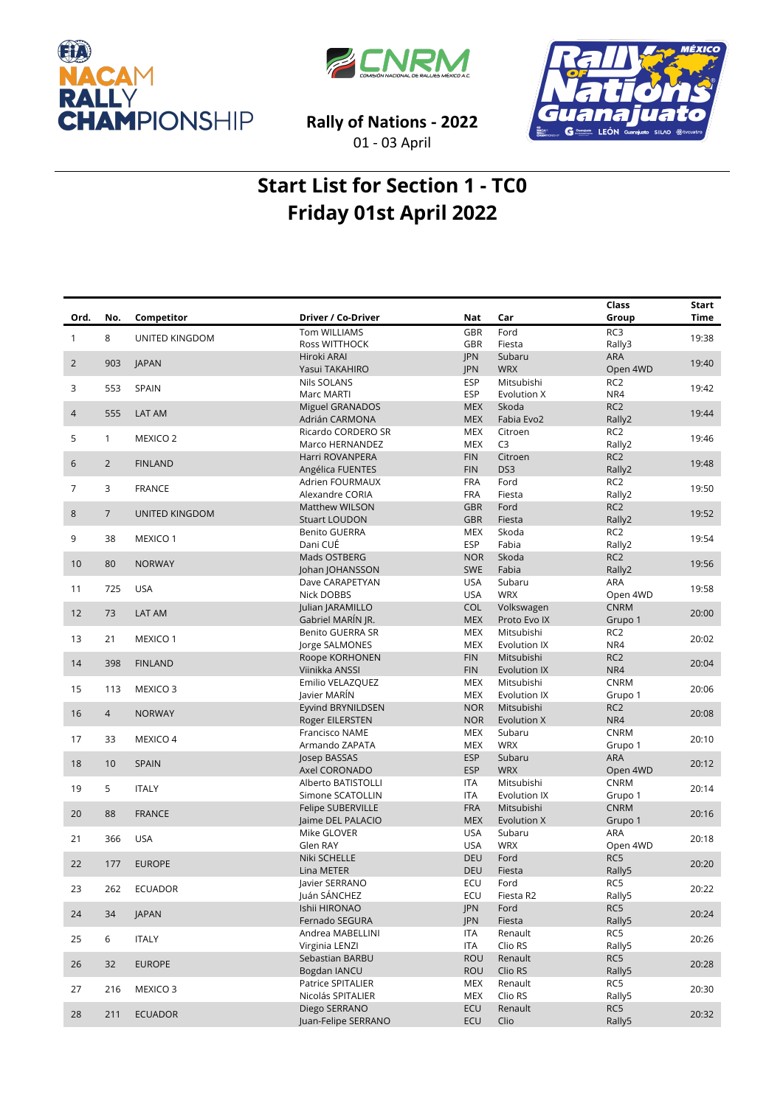





**Rally of Nations - 2022**

01 - 03 April

## **Start List for Section 1 - TC0 Friday 01st April 2022**

|                |                |                     |                                               |                          |                            | Class                     | Start |
|----------------|----------------|---------------------|-----------------------------------------------|--------------------------|----------------------------|---------------------------|-------|
| Ord.           | No.            | Competitor          | Driver / Co-Driver                            | Nat                      | Car                        | Group                     | Time  |
| 1              | 8              | UNITED KINGDOM      | Tom WILLIAMS                                  | <b>GBR</b>               | Ford                       | RC3                       | 19:38 |
|                |                |                     | Ross WITTHOCK                                 | <b>GBR</b>               | Fiesta                     | Rally3                    |       |
| $\overline{2}$ | 903            | <b>JAPAN</b>        | Hiroki ARAI                                   | JPN                      | Subaru                     | ARA                       | 19:40 |
|                |                |                     | Yasui TAKAHIRO                                | <b>JPN</b>               | <b>WRX</b>                 | Open 4WD                  |       |
| 3              | 553            | SPAIN               | <b>Nils SOLANS</b>                            | <b>ESP</b>               | Mitsubishi                 | RC <sub>2</sub>           | 19:42 |
|                |                |                     | Marc MARTI                                    | <b>ESP</b>               | Evolution X                | NR4                       |       |
| 4              | 555            | LAT AM              | <b>Miguel GRANADOS</b>                        | <b>MEX</b>               | Skoda                      | RC <sub>2</sub>           | 19:44 |
|                |                |                     | Adrián CARMONA                                | <b>MEX</b>               | Fabia Evo2                 | Rally2                    |       |
| 5              | $\mathbf{1}$   | MEXICO <sub>2</sub> | Ricardo CORDERO SR                            | MEX                      | Citroen                    | RC <sub>2</sub>           | 19:46 |
|                |                |                     | Marco HERNANDEZ<br>Harri ROVANPERA            | <b>MEX</b><br><b>FIN</b> | C <sub>3</sub><br>Citroen  | Rally2<br>RC <sub>2</sub> |       |
| 6              | $\overline{2}$ | <b>FINLAND</b>      | Angélica FUENTES                              | <b>FIN</b>               | DS3                        | Rally2                    | 19:48 |
|                |                |                     | Adrien FOURMAUX                               | <b>FRA</b>               | Ford                       | RC <sub>2</sub>           |       |
| 7              | 3              | <b>FRANCE</b>       | Alexandre CORIA                               | <b>FRA</b>               | Fiesta                     | Rally2                    | 19:50 |
|                |                |                     | <b>Matthew WILSON</b>                         | <b>GBR</b>               | Ford                       | RC <sub>2</sub>           |       |
| 8              | $\overline{7}$ | UNITED KINGDOM      | <b>Stuart LOUDON</b>                          | <b>GBR</b>               | Fiesta                     | Rally2                    | 19:52 |
| 9              |                | MEXICO 1            | <b>Benito GUERRA</b>                          | <b>MEX</b>               | Skoda                      | RC <sub>2</sub>           | 19:54 |
|                | 38             |                     | Dani CUÉ                                      | <b>ESP</b>               | Fabia                      | Rally2                    |       |
| 10             | 80             | <b>NORWAY</b>       | Mads OSTBERG                                  | <b>NOR</b>               | Skoda                      | RC <sub>2</sub>           | 19:56 |
|                |                |                     | Johan JOHANSSON                               | <b>SWE</b>               | Fabia                      | Rally2                    |       |
| 11             | 725            | <b>USA</b>          | Dave CARAPETYAN                               | USA                      | Subaru                     | ARA                       | 19:58 |
|                |                |                     | Nick DOBBS                                    | <b>USA</b>               | <b>WRX</b>                 | Open 4WD                  |       |
| 12             | 73             | LAT AM              | Julian JARAMILLO                              | <b>COL</b>               | Volkswagen                 | <b>CNRM</b>               | 20:00 |
|                |                |                     | Gabriel MARÍN JR.                             | <b>MEX</b>               | Proto Evo IX               | Grupo 1                   |       |
| 13             | 21             | MEXICO 1            | <b>Benito GUERRA SR</b><br>Jorge SALMONES     | <b>MEX</b><br><b>MEX</b> | Mitsubishi<br>Evolution IX | RC <sub>2</sub><br>NR4    | 20:02 |
|                |                |                     | Roope KORHONEN                                | <b>FIN</b>               | Mitsubishi                 | RC <sub>2</sub>           |       |
| 14             | 398            | <b>FINLAND</b>      | Viinikka ANSSI                                | <b>FIN</b>               | Evolution IX               | NR4                       | 20:04 |
|                |                |                     | Emilio VELAZQUEZ                              | MEX                      | Mitsubishi                 | <b>CNRM</b>               |       |
| 15             | 113            | MEXICO <sub>3</sub> | Javier MARÍN                                  | <b>MEX</b>               | Evolution IX               | Grupo 1                   | 20:06 |
|                |                |                     | Eyvind BRYNILDSEN                             | <b>NOR</b>               | Mitsubishi                 | RC <sub>2</sub>           |       |
| 16             | $\overline{4}$ | <b>NORWAY</b>       | Roger EILERSTEN                               | <b>NOR</b>               | Evolution X                | NR4                       | 20:08 |
| 17             | 33             | MEXICO 4            | Francisco NAME                                | <b>MEX</b>               | Subaru                     | <b>CNRM</b>               | 20:10 |
|                |                |                     | Armando ZAPATA                                | <b>MEX</b>               | <b>WRX</b>                 | Grupo 1                   |       |
| 18             | 10             | <b>SPAIN</b>        | Josep BASSAS                                  | <b>ESP</b>               | Subaru                     | ARA                       | 20:12 |
|                |                |                     | Axel CORONADO                                 | <b>ESP</b>               | <b>WRX</b>                 | Open 4WD                  |       |
| 19             | 5              | <b>ITALY</b>        | Alberto BATISTOLLI                            | <b>ITA</b>               | Mitsubishi                 | <b>CNRM</b>               | 20:14 |
|                |                |                     | Simone SCATOLLIN                              | <b>ITA</b>               | Evolution IX               | Grupo 1                   |       |
| 20             | 88             | <b>FRANCE</b>       | <b>Felipe SUBERVILLE</b><br>Jaime DEL PALACIO | <b>FRA</b><br><b>MEX</b> | Mitsubishi<br>Evolution X  | <b>CNRM</b><br>Grupo 1    | 20:16 |
|                |                |                     | Mike GLOVER                                   | USA                      | Subaru                     | ARA                       |       |
| 21             | 366            | <b>USA</b>          | Glen RAY                                      | <b>USA</b>               | <b>WRX</b>                 | Open 4WD                  | 20:18 |
|                |                |                     | Niki SCHELLE                                  | <b>DEU</b>               | Ford                       | RC5                       |       |
| 22             | 177            | <b>EUROPE</b>       | Lina METER                                    | <b>DEU</b>               | Fiesta                     | Rally5                    | 20:20 |
|                |                |                     | Javier SERRANO                                | ECU                      | Ford                       | RC5                       |       |
| 23             | 262            | ECUADOR             | Juán SÁNCHEZ                                  | ECU                      | Fiesta R2                  | Rally5                    | 20:22 |
| 24             | 34             | <b>JAPAN</b>        | Ishii HIRONAO                                 | JPN                      | Ford                       | RC5                       | 20:24 |
|                |                |                     | Fernado SEGURA                                | JPN                      | Fiesta                     | Rally5                    |       |
| 25             | 6              | <b>ITALY</b>        | Andrea MABELLINI                              | ITA                      | Renault                    | RC5                       | 20:26 |
|                |                |                     | Virginia LENZI                                | ITA                      | Clio RS                    | Rally5                    |       |
| 26             | 32             | <b>EUROPE</b>       | Sebastian BARBU                               | ROU                      | Renault                    | RC5                       | 20:28 |
|                |                |                     | Bogdan IANCU<br>Patrice SPITALIER             | ROU                      | Clio RS                    | Rally5                    |       |
| 27             | 216            | MEXICO <sub>3</sub> | Nicolás SPITALIER                             | MEX<br>MEX               | Renault<br>Clio RS         | RC5<br>Rally5             | 20:30 |
|                |                |                     | Diego SERRANO                                 | ECU                      | Renault                    | RC5                       |       |
| 28             | 211            | <b>ECUADOR</b>      | Juan-Felipe SERRANO                           | ECU                      | Clio                       | Rally5                    | 20:32 |